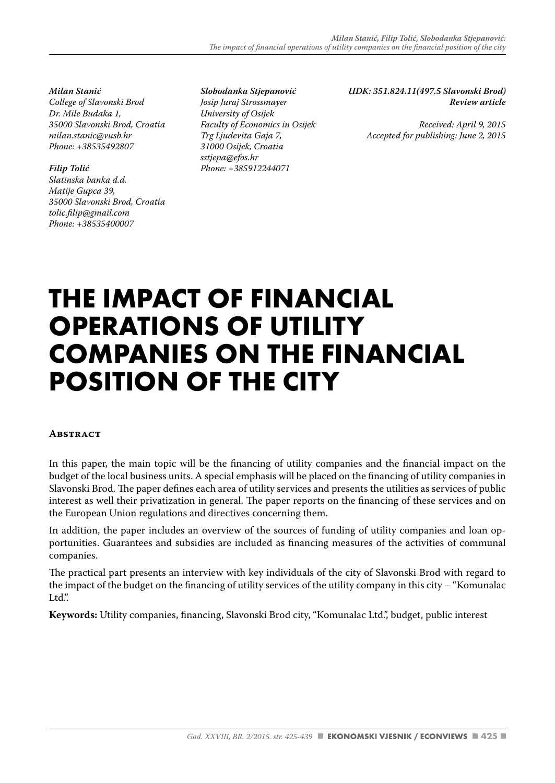#### *Milan Stanić*

*College of Slavonski Brod Dr. Mile Budaka 1, 35000 Slavonski Brod, Croatia milan.stanic@vusb.hr Phone: +38535492807*

#### *Filip Tolić*

*Slatinska banka d.d. Matije Gupca 39, 35000 Slavonski Brod, Croatia tolic.filip@gmail.com Phone: +38535400007*

*Slobodanka Stjepanović Josip Juraj Strossmayer University of Osijek Faculty of Economics in Osijek Trg Ljudevita Gaja 7, 31000 Osijek, Croatia sstjepa@efos.hr Phone: +385912244071*

*UDK: 351.824.11(497.5 Slavonski Brod) Review article* 

> *Received: April 9, 2015 Accepted for publishing: June 2, 2015*

# **THE IMPACT OF FINANCIAL OPERATIONS OF UTILITY COMPANIES ON THE FINANCIAL POSITION OF THE CITY**

#### **ABSTRACT**

In this paper, the main topic will be the financing of utility companies and the financial impact on the budget of the local business units. A special emphasis will be placed on the financing of utility companies in Slavonski Brod. The paper defines each area of utility services and presents the utilities as services of public interest as well their privatization in general. The paper reports on the financing of these services and on the European Union regulations and directives concerning them.

In addition, the paper includes an overview of the sources of funding of utility companies and loan opportunities. Guarantees and subsidies are included as financing measures of the activities of communal companies.

The practical part presents an interview with key individuals of the city of Slavonski Brod with regard to the impact of the budget on the financing of utility services of the utility company in this city – "Komunalac Ltd."

**Keywords:** Utility companies, financing, Slavonski Brod city, "Komunalac Ltd.", budget, public interest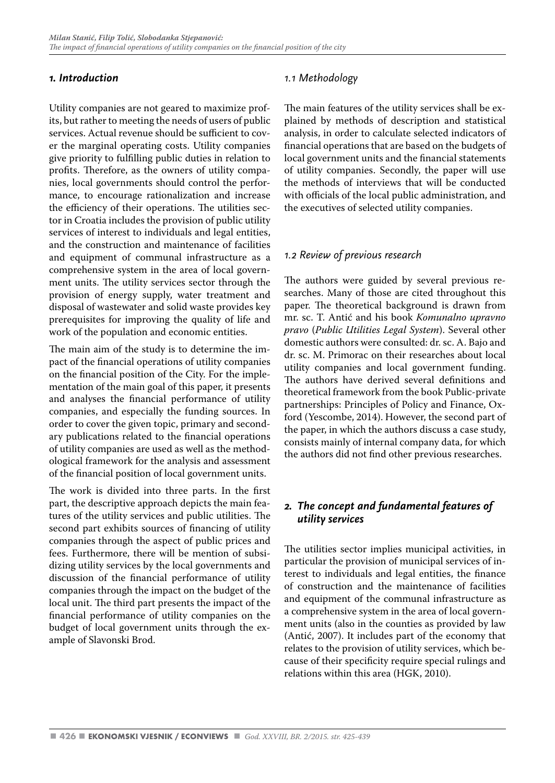## *1. Introduction*

Utility companies are not geared to maximize profits, but rather to meeting the needs of users of public services. Actual revenue should be sufficient to cover the marginal operating costs. Utility companies give priority to fulfilling public duties in relation to profits. Therefore, as the owners of utility companies, local governments should control the performance, to encourage rationalization and increase the efficiency of their operations. The utilities sector in Croatia includes the provision of public utility services of interest to individuals and legal entities, and the construction and maintenance of facilities and equipment of communal infrastructure as a comprehensive system in the area of local government units. The utility services sector through the provision of energy supply, water treatment and disposal of wastewater and solid waste provides key prerequisites for improving the quality of life and work of the population and economic entities.

The main aim of the study is to determine the impact of the financial operations of utility companies on the financial position of the City. For the implementation of the main goal of this paper, it presents and analyses the financial performance of utility companies, and especially the funding sources. In order to cover the given topic, primary and secondary publications related to the financial operations of utility companies are used as well as the methodological framework for the analysis and assessment of the financial position of local government units.

The work is divided into three parts. In the first part, the descriptive approach depicts the main features of the utility services and public utilities. The second part exhibits sources of financing of utility companies through the aspect of public prices and fees. Furthermore, there will be mention of subsidizing utility services by the local governments and discussion of the financial performance of utility companies through the impact on the budget of the local unit. The third part presents the impact of the financial performance of utility companies on the budget of local government units through the example of Slavonski Brod.

# *1.1 Methodology*

The main features of the utility services shall be explained by methods of description and statistical analysis, in order to calculate selected indicators of financial operations that are based on the budgets of local government units and the financial statements of utility companies. Secondly, the paper will use the methods of interviews that will be conducted with officials of the local public administration, and the executives of selected utility companies.

# *1.2 Review of previous research*

The authors were guided by several previous researches. Many of those are cited throughout this paper. The theoretical background is drawn from mr. sc. T. Antić and his book *Komunalno upravno pravo* (*Public Utilities Legal System*). Several other domestic authors were consulted: dr. sc. A. Bajo and dr. sc. M. Primorac on their researches about local utility companies and local government funding. The authors have derived several definitions and theoretical framework from the book Public-private partnerships: Principles of Policy and Finance, Oxford (Yescombe, 2014). However, the second part of the paper, in which the authors discuss a case study, consists mainly of internal company data, for which the authors did not find other previous researches.

# *2. The concept and fundamental features of utility services*

The utilities sector implies municipal activities, in particular the provision of municipal services of interest to individuals and legal entities, the finance of construction and the maintenance of facilities and equipment of the communal infrastructure as a comprehensive system in the area of local government units (also in the counties as provided by law (Antić, 2007). It includes part of the economy that relates to the provision of utility services, which because of their specificity require special rulings and relations within this area (HGK, 2010).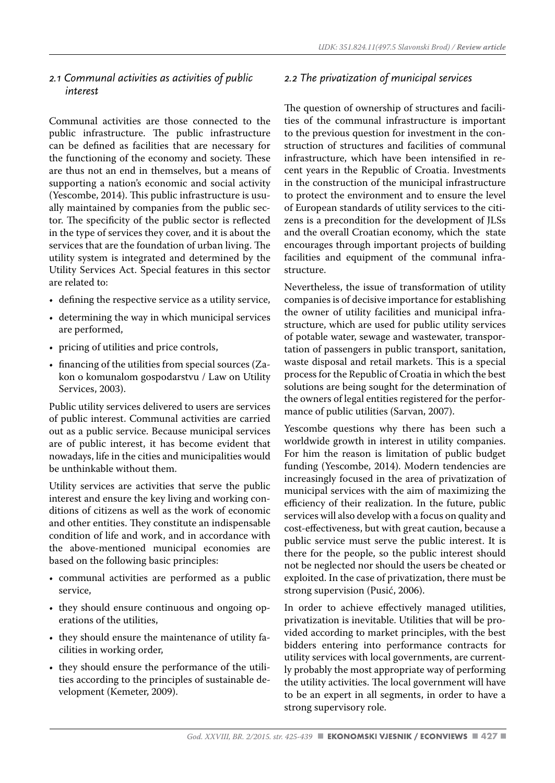# *2.1 Communal activities as activities of public interest*

Communal activities are those connected to the public infrastructure. The public infrastructure can be defined as facilities that are necessary for the functioning of the economy and society. These are thus not an end in themselves, but a means of supporting a nation's economic and social activity (Yescombe, 2014). This public infrastructure is usually maintained by companies from the public sector. The specificity of the public sector is reflected in the type of services they cover, and it is about the services that are the foundation of urban living. The utility system is integrated and determined by the Utility Services Act. Special features in this sector are related to:

- defining the respective service as a utility service,
- determining the way in which municipal services are performed,
- pricing of utilities and price controls,
- financing of the utilities from special sources (Zakon o komunalom gospodarstvu / Law on Utility Services, 2003).

Public utility services delivered to users are services of public interest. Communal activities are carried out as a public service. Because municipal services are of public interest, it has become evident that nowadays, life in the cities and municipalities would be unthinkable without them.

Utility services are activities that serve the public interest and ensure the key living and working conditions of citizens as well as the work of economic and other entities. They constitute an indispensable condition of life and work, and in accordance with the above-mentioned municipal economies are based on the following basic principles:

- communal activities are performed as a public service,
- they should ensure continuous and ongoing operations of the utilities,
- they should ensure the maintenance of utility facilities in working order,
- they should ensure the performance of the utilities according to the principles of sustainable development (Kemeter, 2009).

# *2.2 The privatization of municipal services*

The question of ownership of structures and facilities of the communal infrastructure is important to the previous question for investment in the construction of structures and facilities of communal infrastructure, which have been intensified in recent years in the Republic of Croatia. Investments in the construction of the municipal infrastructure to protect the environment and to ensure the level of European standards of utility services to the citizens is a precondition for the development of JLSs and the overall Croatian economy, which the state encourages through important projects of building facilities and equipment of the communal infrastructure.

Nevertheless, the issue of transformation of utility companies is of decisive importance for establishing the owner of utility facilities and municipal infrastructure, which are used for public utility services of potable water, sewage and wastewater, transportation of passengers in public transport, sanitation, waste disposal and retail markets. This is a special process for the Republic of Croatia in which the best solutions are being sought for the determination of the owners of legal entities registered for the performance of public utilities (Sarvan, 2007).

Yescombe questions why there has been such a worldwide growth in interest in utility companies. For him the reason is limitation of public budget funding (Yescombe, 2014). Modern tendencies are increasingly focused in the area of privatization of municipal services with the aim of maximizing the efficiency of their realization. In the future, public services will also develop with a focus on quality and cost-effectiveness, but with great caution, because a public service must serve the public interest. It is there for the people, so the public interest should not be neglected nor should the users be cheated or exploited. In the case of privatization, there must be strong supervision (Pusić, 2006).

In order to achieve effectively managed utilities, privatization is inevitable. Utilities that will be provided according to market principles, with the best bidders entering into performance contracts for utility services with local governments, are currently probably the most appropriate way of performing the utility activities. The local government will have to be an expert in all segments, in order to have a strong supervisory role.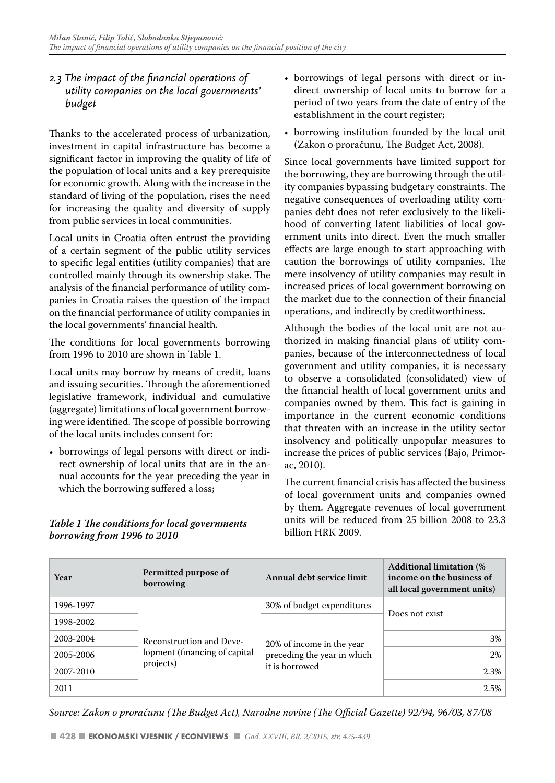# *2.3 The impact of the financial operations of utility companies on the local governments' budget*

Thanks to the accelerated process of urbanization, investment in capital infrastructure has become a significant factor in improving the quality of life of the population of local units and a key prerequisite for economic growth. Along with the increase in the standard of living of the population, rises the need for increasing the quality and diversity of supply from public services in local communities.

Local units in Croatia often entrust the providing of a certain segment of the public utility services to specific legal entities (utility companies) that are controlled mainly through its ownership stake. The analysis of the financial performance of utility companies in Croatia raises the question of the impact on the financial performance of utility companies in the local governments' financial health.

The conditions for local governments borrowing from 1996 to 2010 are shown in Table 1.

Local units may borrow by means of credit, loans and issuing securities. Through the aforementioned legislative framework, individual and cumulative (aggregate) limitations of local government borrowing were identified. The scope of possible borrowing of the local units includes consent for:

• borrowings of legal persons with direct or indirect ownership of local units that are in the annual accounts for the year preceding the year in which the borrowing suffered a loss;

#### *Table 1 The conditions for local governments borrowing from 1996 to 2010*

- borrowings of legal persons with direct or indirect ownership of local units to borrow for a period of two years from the date of entry of the establishment in the court register;
- borrowing institution founded by the local unit (Zakon o proračunu, The Budget Act, 2008).

Since local governments have limited support for the borrowing, they are borrowing through the utility companies bypassing budgetary constraints. The negative consequences of overloading utility companies debt does not refer exclusively to the likelihood of converting latent liabilities of local government units into direct. Even the much smaller effects are large enough to start approaching with caution the borrowings of utility companies. The mere insolvency of utility companies may result in increased prices of local government borrowing on the market due to the connection of their financial operations, and indirectly by creditworthiness.

Although the bodies of the local unit are not authorized in making financial plans of utility companies, because of the interconnectedness of local government and utility companies, it is necessary to observe a consolidated (consolidated) view of the financial health of local government units and companies owned by them. This fact is gaining in importance in the current economic conditions that threaten with an increase in the utility sector insolvency and politically unpopular measures to increase the prices of public services (Bajo, Primorac, 2010).

The current financial crisis has affected the business of local government units and companies owned by them. Aggregate revenues of local government units will be reduced from 25 billion 2008 to 23.3 billion HRK 2009.

| Year      | Permitted purpose of<br>borrowing                                       | Annual debt service limit   | <b>Additional limitation (%)</b><br>income on the business of<br>all local government units) |
|-----------|-------------------------------------------------------------------------|-----------------------------|----------------------------------------------------------------------------------------------|
| 1996-1997 | Reconstruction and Deve-<br>lopment (financing of capital)<br>projects) | 30% of budget expenditures  |                                                                                              |
| 1998-2002 |                                                                         | 20% of income in the year   | Does not exist                                                                               |
| 2003-2004 |                                                                         |                             | 3%                                                                                           |
| 2005-2006 |                                                                         | preceding the year in which | 2%                                                                                           |
| 2007-2010 |                                                                         | it is borrowed              | 2.3%                                                                                         |
| 2011      |                                                                         |                             | 2.5%                                                                                         |

*Source: Zakon o proračunu (The Budget Act), Narodne novine (The Official Gazette) 92/94, 96/03, 87/08*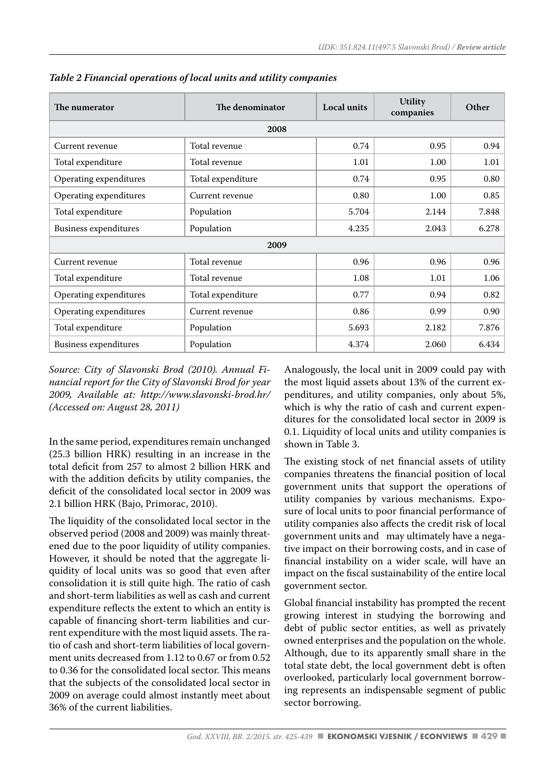| The numerator                | The denominator   | Local units | <b>Utility</b><br>companies | Other |  |  |  |
|------------------------------|-------------------|-------------|-----------------------------|-------|--|--|--|
| 2008                         |                   |             |                             |       |  |  |  |
| Current revenue              | Total revenue     | 0.74        | 0.95                        | 0.94  |  |  |  |
| Total expenditure            | Total revenue     | 1.01        | 1.00                        | 1.01  |  |  |  |
| Operating expenditures       | Total expenditure | 0.74        | 0.95                        | 0.80  |  |  |  |
| Operating expenditures       | Current revenue   | 0.80        | 1.00                        | 0.85  |  |  |  |
| Total expenditure            | Population        | 5.704       | 2.144                       | 7.848 |  |  |  |
| <b>Business expenditures</b> | Population        | 4.235       | 2.043                       | 6.278 |  |  |  |
|                              | 2009              |             |                             |       |  |  |  |
| Current revenue              | Total revenue     | 0.96        | 0.96                        | 0.96  |  |  |  |
| Total expenditure            | Total revenue     | 1.08        | 1.01                        | 1.06  |  |  |  |
| Operating expenditures       | Total expenditure | 0.77        | 0.94                        | 0.82  |  |  |  |
| Operating expenditures       | Current revenue   | 0.86        | 0.99                        | 0.90  |  |  |  |
| Total expenditure            | Population        | 5.693       | 2.182                       | 7.876 |  |  |  |
| <b>Business expenditures</b> | Population        | 4.374       | 2.060                       | 6.434 |  |  |  |

*Table 2 Financial operations of local units and utility companies*

*Source: City of Slavonski Brod (2010). Annual Financial report for the City of Slavonski Brod for year 2009, Available at: http://www.slavonski-brod.hr/ (Accessed on: August 28, 2011)* 

In the same period, expenditures remain unchanged (25.3 billion HRK) resulting in an increase in the total deficit from 257 to almost 2 billion HRK and with the addition deficits by utility companies, the deficit of the consolidated local sector in 2009 was 2.1 billion HRK (Bajo, Primorac, 2010).

The liquidity of the consolidated local sector in the observed period (2008 and 2009) was mainly threatened due to the poor liquidity of utility companies. However, it should be noted that the aggregate liquidity of local units was so good that even after consolidation it is still quite high. The ratio of cash and short-term liabilities as well as cash and current expenditure reflects the extent to which an entity is capable of financing short-term liabilities and current expenditure with the most liquid assets. The ratio of cash and short-term liabilities of local government units decreased from 1.12 to 0.67 or from 0.52 to 0.36 for the consolidated local sector. This means that the subjects of the consolidated local sector in 2009 on average could almost instantly meet about 36% of the current liabilities.

Analogously, the local unit in 2009 could pay with the most liquid assets about 13% of the current expenditures, and utility companies, only about 5%, which is why the ratio of cash and current expenditures for the consolidated local sector in 2009 is 0.1. Liquidity of local units and utility companies is shown in Table 3.

The existing stock of net financial assets of utility companies threatens the financial position of local government units that support the operations of utility companies by various mechanisms. Exposure of local units to poor financial performance of utility companies also affects the credit risk of local government units and may ultimately have a negative impact on their borrowing costs, and in case of financial instability on a wider scale, will have an impact on the fiscal sustainability of the entire local government sector.

Global financial instability has prompted the recent growing interest in studying the borrowing and debt of public sector entities, as well as privately owned enterprises and the population on the whole. Although, due to its apparently small share in the total state debt, the local government debt is often overlooked, particularly local government borrowing represents an indispensable segment of public sector borrowing.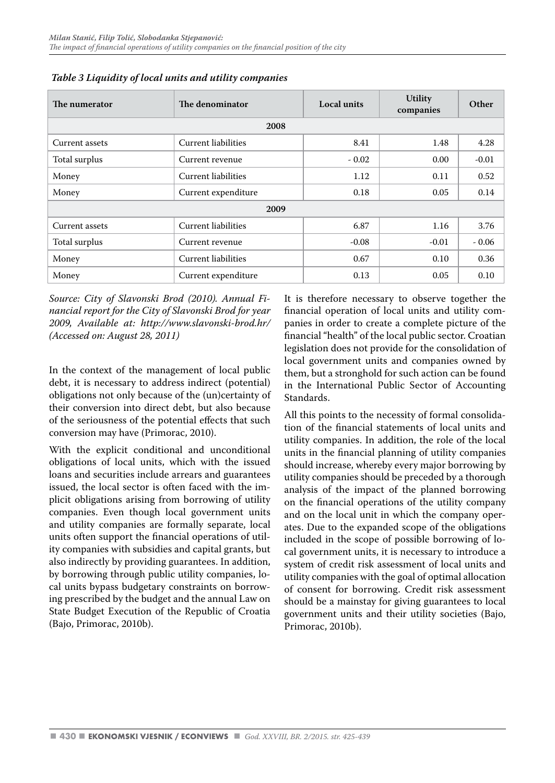| The numerator  | The denominator            | Local units | <b>Utility</b><br>companies | Other   |  |  |  |
|----------------|----------------------------|-------------|-----------------------------|---------|--|--|--|
| 2008           |                            |             |                             |         |  |  |  |
| Current assets | Current liabilities        | 8.41        | 1.48                        | 4.28    |  |  |  |
| Total surplus  | Current revenue            | $-0.02$     | 0.00                        | $-0.01$ |  |  |  |
| Money          | Current liabilities        | 1.12        | 0.11                        | 0.52    |  |  |  |
| Money          | Current expenditure        | 0.18        | 0.05                        | 0.14    |  |  |  |
|                | 2009                       |             |                             |         |  |  |  |
| Current assets | Current liabilities        | 6.87        | 1.16                        | 3.76    |  |  |  |
| Total surplus  | Current revenue            | $-0.08$     | $-0.01$                     | $-0.06$ |  |  |  |
| Money          | <b>Current liabilities</b> | 0.67        | 0.10                        | 0.36    |  |  |  |
| Money          | Current expenditure        | 0.13        | 0.05                        | 0.10    |  |  |  |

*Table 3 Liquidity of local units and utility companies*

*Source: City of Slavonski Brod (2010). Annual Financial report for the City of Slavonski Brod for year 2009, Available at: http://www.slavonski-brod.hr/ (Accessed on: August 28, 2011)* 

In the context of the management of local public debt, it is necessary to address indirect (potential) obligations not only because of the (un)certainty of their conversion into direct debt, but also because of the seriousness of the potential effects that such conversion may have (Primorac, 2010).

With the explicit conditional and unconditional obligations of local units, which with the issued loans and securities include arrears and guarantees issued, the local sector is often faced with the implicit obligations arising from borrowing of utility companies. Even though local government units and utility companies are formally separate, local units often support the financial operations of utility companies with subsidies and capital grants, but also indirectly by providing guarantees. In addition, by borrowing through public utility companies, local units bypass budgetary constraints on borrowing prescribed by the budget and the annual Law on State Budget Execution of the Republic of Croatia (Bajo, Primorac, 2010b).

It is therefore necessary to observe together the financial operation of local units and utility companies in order to create a complete picture of the financial "health" of the local public sector. Croatian legislation does not provide for the consolidation of local government units and companies owned by them, but a stronghold for such action can be found in the International Public Sector of Accounting Standards.

All this points to the necessity of formal consolidation of the financial statements of local units and utility companies. In addition, the role of the local units in the financial planning of utility companies should increase, whereby every major borrowing by utility companies should be preceded by a thorough analysis of the impact of the planned borrowing on the financial operations of the utility company and on the local unit in which the company operates. Due to the expanded scope of the obligations included in the scope of possible borrowing of local government units, it is necessary to introduce a system of credit risk assessment of local units and utility companies with the goal of optimal allocation of consent for borrowing. Credit risk assessment should be a mainstay for giving guarantees to local government units and their utility societies (Bajo, Primorac, 2010b).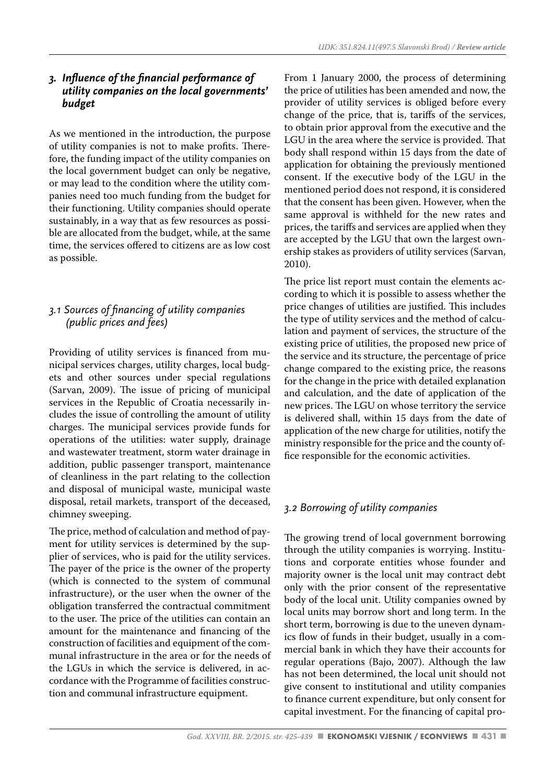#### *3. Influence of the financial performance of utility companies on the local governments' budget*

As we mentioned in the introduction, the purpose of utility companies is not to make profits. Therefore, the funding impact of the utility companies on the local government budget can only be negative, or may lead to the condition where the utility companies need too much funding from the budget for their functioning. Utility companies should operate sustainably, in a way that as few resources as possible are allocated from the budget, while, at the same time, the services offered to citizens are as low cost as possible.

# *3.1 Sources of financing of utility companies (public prices and fees)*

Providing of utility services is financed from municipal services charges, utility charges, local budgets and other sources under special regulations (Sarvan, 2009). The issue of pricing of municipal services in the Republic of Croatia necessarily includes the issue of controlling the amount of utility charges. The municipal services provide funds for operations of the utilities: water supply, drainage and wastewater treatment, storm water drainage in addition, public passenger transport, maintenance of cleanliness in the part relating to the collection and disposal of municipal waste, municipal waste disposal, retail markets, transport of the deceased, chimney sweeping.

The price, method of calculation and method of payment for utility services is determined by the supplier of services, who is paid for the utility services. The payer of the price is the owner of the property (which is connected to the system of communal infrastructure), or the user when the owner of the obligation transferred the contractual commitment to the user. The price of the utilities can contain an amount for the maintenance and financing of the construction of facilities and equipment of the communal infrastructure in the area or for the needs of the LGUs in which the service is delivered, in accordance with the Programme of facilities construction and communal infrastructure equipment.

From 1 January 2000, the process of determining the price of utilities has been amended and now, the provider of utility services is obliged before every change of the price, that is, tariffs of the services, to obtain prior approval from the executive and the LGU in the area where the service is provided. That body shall respond within 15 days from the date of application for obtaining the previously mentioned consent. If the executive body of the LGU in the mentioned period does not respond, it is considered that the consent has been given. However, when the same approval is withheld for the new rates and prices, the tariffs and services are applied when they are accepted by the LGU that own the largest ownership stakes as providers of utility services (Sarvan, 2010).

The price list report must contain the elements according to which it is possible to assess whether the price changes of utilities are justified. This includes the type of utility services and the method of calculation and payment of services, the structure of the existing price of utilities, the proposed new price of the service and its structure, the percentage of price change compared to the existing price, the reasons for the change in the price with detailed explanation and calculation, and the date of application of the new prices. The LGU on whose territory the service is delivered shall, within 15 days from the date of application of the new charge for utilities, notify the ministry responsible for the price and the county office responsible for the economic activities.

# *3.2 Borrowing of utility companies*

The growing trend of local government borrowing through the utility companies is worrying. Institutions and corporate entities whose founder and majority owner is the local unit may contract debt only with the prior consent of the representative body of the local unit. Utility companies owned by local units may borrow short and long term. In the short term, borrowing is due to the uneven dynamics flow of funds in their budget, usually in a commercial bank in which they have their accounts for regular operations (Bajo, 2007). Although the law has not been determined, the local unit should not give consent to institutional and utility companies to finance current expenditure, but only consent for capital investment. For the financing of capital pro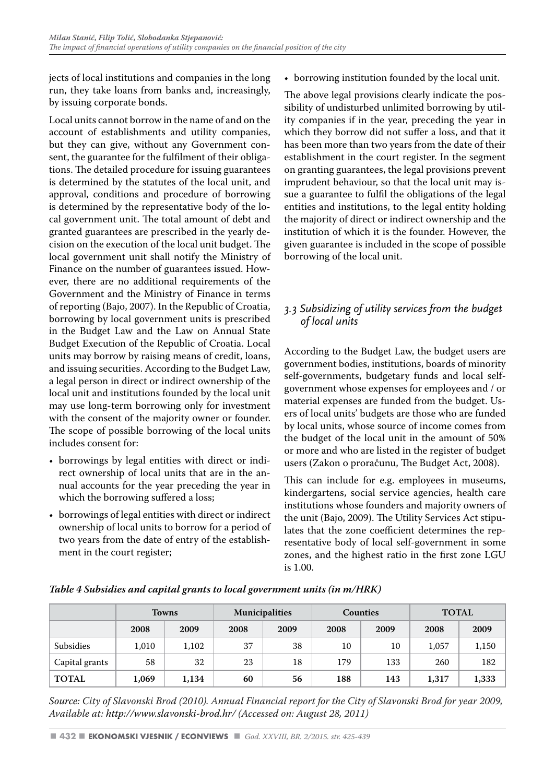jects of local institutions and companies in the long run, they take loans from banks and, increasingly, by issuing corporate bonds.

Local units cannot borrow in the name of and on the account of establishments and utility companies, but they can give, without any Government consent, the guarantee for the fulfilment of their obligations. The detailed procedure for issuing guarantees is determined by the statutes of the local unit, and approval, conditions and procedure of borrowing is determined by the representative body of the local government unit. The total amount of debt and granted guarantees are prescribed in the yearly decision on the execution of the local unit budget. The local government unit shall notify the Ministry of Finance on the number of guarantees issued. However, there are no additional requirements of the Government and the Ministry of Finance in terms of reporting (Bajo, 2007). In the Republic of Croatia, borrowing by local government units is prescribed in the Budget Law and the Law on Annual State Budget Execution of the Republic of Croatia. Local units may borrow by raising means of credit, loans, and issuing securities. According to the Budget Law, a legal person in direct or indirect ownership of the local unit and institutions founded by the local unit may use long-term borrowing only for investment with the consent of the majority owner or founder. The scope of possible borrowing of the local units includes consent for:

- borrowings by legal entities with direct or indirect ownership of local units that are in the annual accounts for the year preceding the year in which the borrowing suffered a loss;
- borrowings of legal entities with direct or indirect ownership of local units to borrow for a period of two years from the date of entry of the establishment in the court register;

• borrowing institution founded by the local unit.

The above legal provisions clearly indicate the possibility of undisturbed unlimited borrowing by utility companies if in the year, preceding the year in which they borrow did not suffer a loss, and that it has been more than two years from the date of their establishment in the court register. In the segment on granting guarantees, the legal provisions prevent imprudent behaviour, so that the local unit may issue a guarantee to fulfil the obligations of the legal entities and institutions, to the legal entity holding the majority of direct or indirect ownership and the institution of which it is the founder. However, the given guarantee is included in the scope of possible borrowing of the local unit.

# *3.3 Subsidizing of utility services from the budget of local units*

According to the Budget Law, the budget users are government bodies, institutions, boards of minority self-governments, budgetary funds and local selfgovernment whose expenses for employees and / or material expenses are funded from the budget. Users of local units' budgets are those who are funded by local units, whose source of income comes from the budget of the local unit in the amount of 50% or more and who are listed in the register of budget users (Zakon o proračunu, The Budget Act, 2008).

This can include for e.g. employees in museums, kindergartens, social service agencies, health care institutions whose founders and majority owners of the unit (Bajo, 2009). The Utility Services Act stipulates that the zone coefficient determines the representative body of local self-government in some zones, and the highest ratio in the first zone LGU is 1.00.

|                | <b>Towns</b> |       | <b>Municipalities</b> |      | Counties |      | <b>TOTAL</b> |       |
|----------------|--------------|-------|-----------------------|------|----------|------|--------------|-------|
|                | 2008         | 2009  | 2008                  | 2009 | 2008     | 2009 | 2008         | 2009  |
| Subsidies      | 1,010        | 1,102 | 37                    | 38   | 10       | 10   | 1,057        | 1,150 |
| Capital grants | 58           | 32    | 23                    | 18   | 179      | 133  | 260          | 182   |
| <b>TOTAL</b>   | 1,069        | 1,134 | 60                    | 56   | 188      | 143  | 1,317        | 1,333 |

*Table 4 Subsidies and capital grants to local government units (in m/HRK)*

*Source: City of Slavonski Brod (2010). Annual Financial report for the City of Slavonski Brod for year 2009, Available at: http://www.slavonski-brod.hr/ (Accessed on: August 28, 2011)*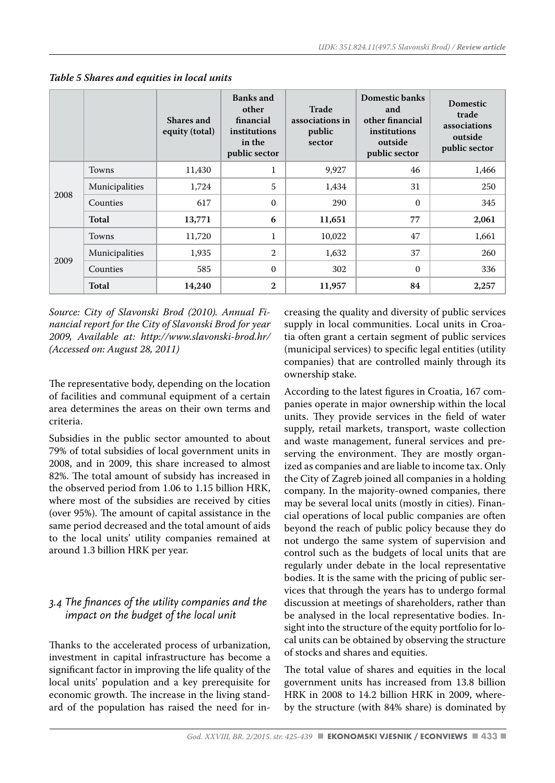|                  |                | Shares and<br>equity (total) | <b>Banks</b> and<br>other<br>financial<br>institutions<br>in the<br>public sector | Trade<br>associations in<br>public<br>sector | Domestic banks<br>and<br>other financial<br>institutions<br>outside<br>public sector | <b>Domestic</b><br>trade<br>associations<br>outside<br>public sector |
|------------------|----------------|------------------------------|-----------------------------------------------------------------------------------|----------------------------------------------|--------------------------------------------------------------------------------------|----------------------------------------------------------------------|
|                  | <b>Towns</b>   | 11,430                       | $\mathbf{1}$                                                                      | 9,927                                        | 46                                                                                   | 1,466                                                                |
| 2008<br>Counties | Municipalities | 1,724                        | 5                                                                                 | 1,434                                        | 31                                                                                   | 250                                                                  |
|                  |                | 617                          | $\Omega$                                                                          | 290                                          | $\mathbf{0}$                                                                         | 345                                                                  |
|                  | Total          | 13,771                       | 6                                                                                 | 11,651                                       | 77                                                                                   | 2,061                                                                |
|                  | <b>Towns</b>   | 11,720                       | $\mathbf{1}$                                                                      | 10,022                                       | 47                                                                                   | 1,661                                                                |
| 2009             | Municipalities | 1,935                        | $\mathfrak{2}$                                                                    | 1,632                                        | 37                                                                                   | 260                                                                  |
|                  | Counties       | 585                          | $\mathbf{0}$                                                                      | 302                                          | $\mathbf{0}$                                                                         | 336                                                                  |
|                  | Total          | 14,240                       | $\mathbf{2}$                                                                      | 11,957                                       | 84                                                                                   | 2,257                                                                |

*Table 5 Shares and equities in local units*

*Source: City of Slavonski Brod (2010). Annual Financial report for the City of Slavonski Brod for year 2009, Available at: http://www.slavonski-brod.hr/ (Accessed on: August 28, 2011)* 

The representative body, depending on the location of facilities and communal equipment of a certain area determines the areas on their own terms and criteria.

Subsidies in the public sector amounted to about 79% of total subsidies of local government units in 2008, and in 2009, this share increased to almost 82%. The total amount of subsidy has increased in the observed period from 1.06 to 1.15 billion HRK, where most of the subsidies are received by cities (over 95%). The amount of capital assistance in the same period decreased and the total amount of aids to the local units' utility companies remained at around 1.3 billion HRK per year.

# *3.4 The finances of the utility companies and the impact on the budget of the local unit*

Thanks to the accelerated process of urbanization, investment in capital infrastructure has become a significant factor in improving the life quality of the local units' population and a key prerequisite for economic growth. The increase in the living standard of the population has raised the need for increasing the quality and diversity of public services supply in local communities. Local units in Croatia often grant a certain segment of public services (municipal services) to specific legal entities (utility companies) that are controlled mainly through its ownership stake.

According to the latest figures in Croatia, 167 companies operate in major ownership within the local units. They provide services in the field of water supply, retail markets, transport, waste collection and waste management, funeral services and preserving the environment. They are mostly organized as companies and are liable to income tax. Only the City of Zagreb joined all companies in a holding company. In the majority-owned companies, there may be several local units (mostly in cities). Financial operations of local public companies are often beyond the reach of public policy because they do not undergo the same system of supervision and control such as the budgets of local units that are regularly under debate in the local representative bodies. It is the same with the pricing of public services that through the years has to undergo formal discussion at meetings of shareholders, rather than be analysed in the local representative bodies. Insight into the structure of the equity portfolio for local units can be obtained by observing the structure of stocks and shares and equities.

The total value of shares and equities in the local government units has increased from 13.8 billion HRK in 2008 to 14.2 billion HRK in 2009, whereby the structure (with 84% share) is dominated by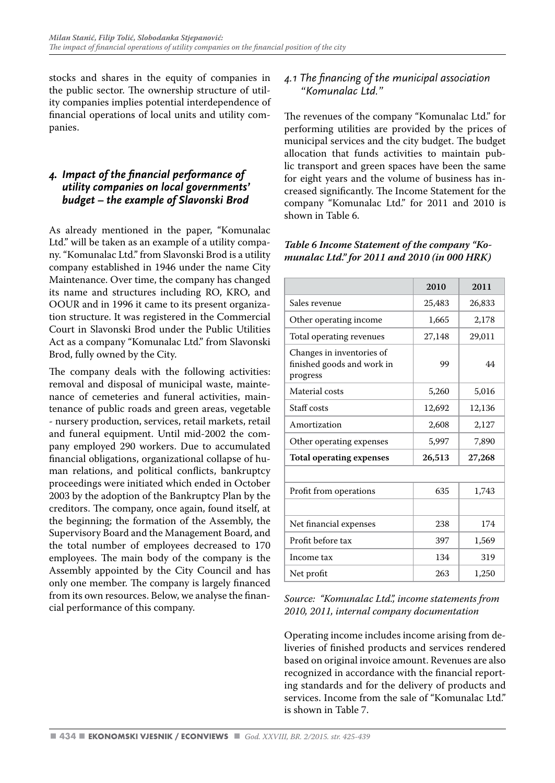stocks and shares in the equity of companies in the public sector. The ownership structure of utility companies implies potential interdependence of financial operations of local units and utility companies.

# *4. Impact of the financial performance of utility companies on local governments' budget – the example of Slavonski Brod*

As already mentioned in the paper, "Komunalac Ltd." will be taken as an example of a utility company. "Komunalac Ltd." from Slavonski Brod is a utility company established in 1946 under the name City Maintenance. Over time, the company has changed its name and structures including RO, KRO, and OOUR and in 1996 it came to its present organization structure. It was registered in the Commercial Court in Slavonski Brod under the Public Utilities Act as a company "Komunalac Ltd." from Slavonski Brod, fully owned by the City.

The company deals with the following activities: removal and disposal of municipal waste, maintenance of cemeteries and funeral activities, maintenance of public roads and green areas, vegetable - nursery production, services, retail markets, retail and funeral equipment. Until mid-2002 the company employed 290 workers. Due to accumulated financial obligations, organizational collapse of human relations, and political conflicts, bankruptcy proceedings were initiated which ended in October 2003 by the adoption of the Bankruptcy Plan by the creditors. The company, once again, found itself, at the beginning; the formation of the Assembly, the Supervisory Board and the Management Board, and the total number of employees decreased to 170 employees. The main body of the company is the Assembly appointed by the City Council and has only one member. The company is largely financed from its own resources. Below, we analyse the financial performance of this company.

# *4.1 The financing of the municipal association "Komunalac Ltd."*

The revenues of the company "Komunalac Ltd." for performing utilities are provided by the prices of municipal services and the city budget. The budget allocation that funds activities to maintain public transport and green spaces have been the same for eight years and the volume of business has increased significantly. The Income Statement for the company "Komunalac Ltd." for 2011 and 2010 is shown in Table 6.

#### *Table 6 Income Statement of the company "Komunalac Ltd." for 2011 and 2010 (in 000 HRK)*

|                                                                     | 2010   | 2011   |
|---------------------------------------------------------------------|--------|--------|
| Sales revenue                                                       | 25,483 | 26,833 |
| Other operating income                                              | 1,665  | 2,178  |
| Total operating revenues                                            | 27,148 | 29,011 |
| Changes in inventories of<br>finished goods and work in<br>progress | 99     | 44     |
| Material costs                                                      | 5,260  | 5.016  |
| Staff costs                                                         | 12,692 | 12,136 |
| Amortization                                                        | 2,608  | 2,127  |
| Other operating expenses                                            | 5,997  | 7.890  |
| <b>Total operating expenses</b>                                     | 26,513 | 27,268 |
|                                                                     |        |        |
| Profit from operations                                              | 635    | 1,743  |
|                                                                     |        |        |
| Net financial expenses                                              | 238    | 174    |
| Profit before tax                                                   | 397    | 1,569  |
| Income tax                                                          | 134    | 319    |
| Net profit                                                          | 263    | 1,250  |

#### *Source: "Komunalac Ltd.", income statements from 2010, 2011, internal company documentation*

Operating income includes income arising from deliveries of finished products and services rendered based on original invoice amount. Revenues are also recognized in accordance with the financial reporting standards and for the delivery of products and services. Income from the sale of "Komunalac Ltd." is shown in Table 7.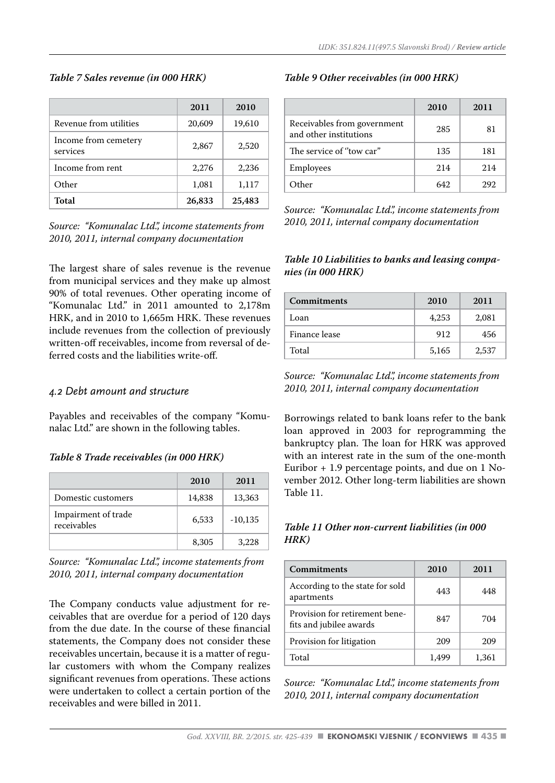#### *Table 7 Sales revenue (in 000 HRK)*

|                                  | 2011   | 2010   |
|----------------------------------|--------|--------|
| Revenue from utilities           | 20,609 | 19,610 |
| Income from cemetery<br>services | 2,867  | 2,520  |
| Income from rent                 | 2,276  | 2,236  |
| Other                            | 1,081  | 1,117  |
| Total                            | 26,833 | 25,483 |

*Source: "Komunalac Ltd.", income statements from 2010, 2011, internal company documentation*

The largest share of sales revenue is the revenue from municipal services and they make up almost 90% of total revenues. Other operating income of "Komunalac Ltd." in 2011 amounted to 2,178m HRK, and in 2010 to 1,665m HRK. These revenues include revenues from the collection of previously written-off receivables, income from reversal of deferred costs and the liabilities write-off.

#### *4.2 Debt amount and structure*

Payables and receivables of the company "Komunalac Ltd." are shown in the following tables.

#### *Table 8 Trade receivables (in 000 HRK)*

|                                    | 2010   | 2011      |
|------------------------------------|--------|-----------|
| Domestic customers                 | 14,838 | 13,363    |
| Impairment of trade<br>receivables | 6,533  | $-10,135$ |
|                                    | 8,305  | 3,228     |

*Source: "Komunalac Ltd.", income statements from 2010, 2011, internal company documentation*

The Company conducts value adjustment for receivables that are overdue for a period of 120 days from the due date. In the course of these financial statements, the Company does not consider these receivables uncertain, because it is a matter of regular customers with whom the Company realizes significant revenues from operations. These actions were undertaken to collect a certain portion of the receivables and were billed in 2011.

#### *Table 9 Other receivables (in 000 HRK)*

|                                                       | 2010 | 2011 |
|-------------------------------------------------------|------|------|
| Receivables from government<br>and other institutions | 285  | 81   |
| The service of "tow car"                              | 135  | 181  |
| Employees                                             | 214  | 214  |
| Other                                                 | 642  | 292  |

*Source: "Komunalac Ltd.", income statements from 2010, 2011, internal company documentation*

#### *Table 10 Liabilities to banks and leasing companies (in 000 HRK)*

| Commitments   | 2010  | 2011  |
|---------------|-------|-------|
| Loan          | 4.253 | 2,081 |
| Finance lease | 912   | 456   |
| Total         | 5,165 | 2,537 |

*Source: "Komunalac Ltd.", income statements from 2010, 2011, internal company documentation*

Borrowings related to bank loans refer to the bank loan approved in 2003 for reprogramming the bankruptcy plan. The loan for HRK was approved with an interest rate in the sum of the one-month Euribor + 1.9 percentage points, and due on 1 November 2012. Other long-term liabilities are shown Table 11.

#### *Table 11 Other non-current liabilities (in 000 HRK)*

| Commitments                                               | 2010 | 2011  |
|-----------------------------------------------------------|------|-------|
| According to the state for sold<br>apartments             | 443  | 448   |
| Provision for retirement bene-<br>fits and jubilee awards | 847  | 704   |
| Provision for litigation                                  | 209  | 209   |
| Total                                                     |      | 1.361 |

*Source: "Komunalac Ltd.", income statements from 2010, 2011, internal company documentation*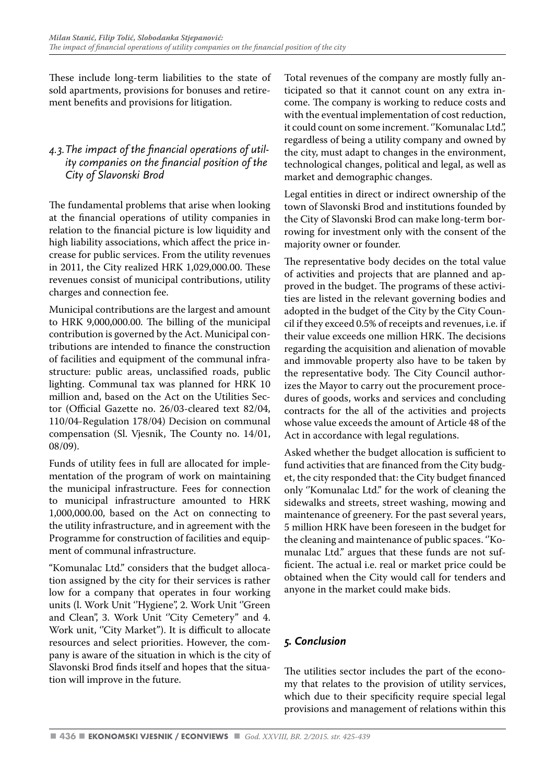These include long-term liabilities to the state of sold apartments, provisions for bonuses and retirement benefits and provisions for litigation.

# *4.3.The impact of the financial operations of utility companies on the financial position of the City of Slavonski Brod*

The fundamental problems that arise when looking at the financial operations of utility companies in relation to the financial picture is low liquidity and high liability associations, which affect the price increase for public services. From the utility revenues in 2011, the City realized HRK 1,029,000.00. These revenues consist of municipal contributions, utility charges and connection fee.

Municipal contributions are the largest and amount to HRK 9,000,000.00. The billing of the municipal contribution is governed by the Act. Municipal contributions are intended to finance the construction of facilities and equipment of the communal infrastructure: public areas, unclassified roads, public lighting. Communal tax was planned for HRK 10 million and, based on the Act on the Utilities Sector (Official Gazette no. 26/03-cleared text 82/04, 110/04-Regulation 178/04) Decision on communal compensation (Sl. Vjesnik, The County no. 14/01, 08/09).

Funds of utility fees in full are allocated for implementation of the program of work on maintaining the municipal infrastructure. Fees for connection to municipal infrastructure amounted to HRK 1,000,000.00, based on the Act on connecting to the utility infrastructure, and in agreement with the Programme for construction of facilities and equipment of communal infrastructure.

"Komunalac Ltd." considers that the budget allocation assigned by the city for their services is rather low for a company that operates in four working units (l. Work Unit ''Hygiene", 2. Work Unit ''Green and Clean", 3. Work Unit "City Cemetery" and 4. Work unit, "City Market"). It is difficult to allocate resources and select priorities. However, the company is aware of the situation in which is the city of Slavonski Brod finds itself and hopes that the situation will improve in the future.

Total revenues of the company are mostly fully anticipated so that it cannot count on any extra income. The company is working to reduce costs and with the eventual implementation of cost reduction, it could count on some increment. ''Komunalac Ltd.", regardless of being a utility company and owned by the city, must adapt to changes in the environment, technological changes, political and legal, as well as market and demographic changes.

Legal entities in direct or indirect ownership of the town of Slavonski Brod and institutions founded by the City of Slavonski Brod can make long-term borrowing for investment only with the consent of the majority owner or founder.

The representative body decides on the total value of activities and projects that are planned and approved in the budget. The programs of these activities are listed in the relevant governing bodies and adopted in the budget of the City by the City Council if they exceed 0.5% of receipts and revenues, i.e. if their value exceeds one million HRK. The decisions regarding the acquisition and alienation of movable and immovable property also have to be taken by the representative body. The City Council authorizes the Mayor to carry out the procurement procedures of goods, works and services and concluding contracts for the all of the activities and projects whose value exceeds the amount of Article 48 of the Act in accordance with legal regulations.

Asked whether the budget allocation is sufficient to fund activities that are financed from the City budget, the city responded that: the City budget financed only ''Komunalac Ltd.'' for the work of cleaning the sidewalks and streets, street washing, mowing and maintenance of greenery. For the past several years, 5 million HRK have been foreseen in the budget for the cleaning and maintenance of public spaces. ''Komunalac Ltd.'' argues that these funds are not sufficient. The actual i.e. real or market price could be obtained when the City would call for tenders and anyone in the market could make bids.

# *5. Conclusion*

The utilities sector includes the part of the economy that relates to the provision of utility services, which due to their specificity require special legal provisions and management of relations within this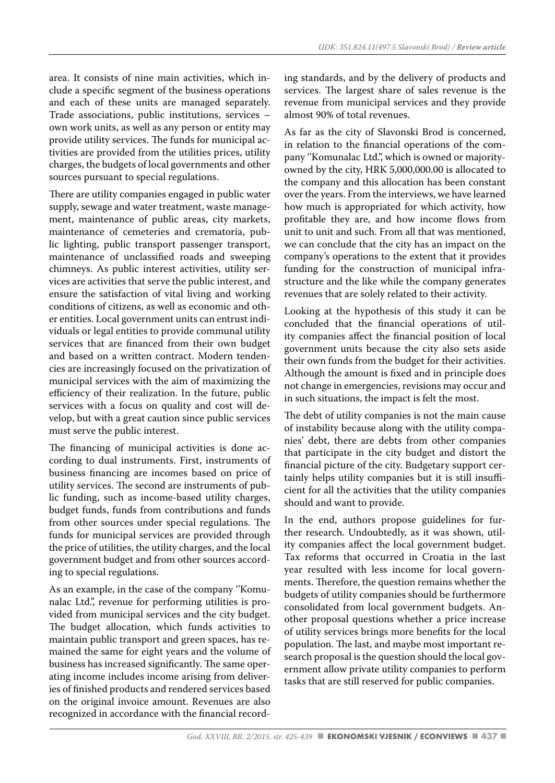area. It consists of nine main activities, which include a specific segment of the business operations and each of these units are managed separately. Trade associations, public institutions, services – own work units, as well as any person or entity may provide utility services. The funds for municipal activities are provided from the utilities prices, utility charges, the budgets of local governments and other sources pursuant to special regulations.

There are utility companies engaged in public water supply, sewage and water treatment, waste management, maintenance of public areas, city markets, maintenance of cemeteries and crematoria, public lighting, public transport passenger transport, maintenance of unclassified roads and sweeping chimneys. As public interest activities, utility services are activities that serve the public interest, and ensure the satisfaction of vital living and working conditions of citizens, as well as economic and other entities. Local government units can entrust individuals or legal entities to provide communal utility services that are financed from their own budget and based on a written contract. Modern tendencies are increasingly focused on the privatization of municipal services with the aim of maximizing the efficiency of their realization. In the future, public services with a focus on quality and cost will develop, but with a great caution since public services must serve the public interest.

The financing of municipal activities is done according to dual instruments. First, instruments of business financing are incomes based on price of utility services. The second are instruments of public funding, such as income-based utility charges, budget funds, funds from contributions and funds from other sources under special regulations. The funds for municipal services are provided through the price of utilities, the utility charges, and the local government budget and from other sources according to special regulations.

As an example, in the case of the company ''Komunalac Ltd.", revenue for performing utilities is provided from municipal services and the city budget. The budget allocation, which funds activities to maintain public transport and green spaces, has remained the same for eight years and the volume of business has increased significantly. The same operating income includes income arising from deliveries of finished products and rendered services based on the original invoice amount. Revenues are also recognized in accordance with the financial recording standards, and by the delivery of products and services. The largest share of sales revenue is the revenue from municipal services and they provide almost 90% of total revenues.

As far as the city of Slavonski Brod is concerned, in relation to the financial operations of the company "Komunalac Ltd.", which is owned or majorityowned by the city, HRK 5,000,000.00 is allocated to the company and this allocation has been constant over the years. From the interviews, we have learned how much is appropriated for which activity, how profitable they are, and how income flows from unit to unit and such. From all that was mentioned, we can conclude that the city has an impact on the company's operations to the extent that it provides funding for the construction of municipal infrastructure and the like while the company generates revenues that are solely related to their activity.

Looking at the hypothesis of this study it can be concluded that the financial operations of utility companies affect the financial position of local government units because the city also sets aside their own funds from the budget for their activities. Although the amount is fixed and in principle does not change in emergencies, revisions may occur and in such situations, the impact is felt the most.

The debt of utility companies is not the main cause of instability because along with the utility companies' debt, there are debts from other companies that participate in the city budget and distort the financial picture of the city. Budgetary support certainly helps utility companies but it is still insufficient for all the activities that the utility companies should and want to provide.

In the end, authors propose guidelines for further research. Undoubtedly, as it was shown, utility companies affect the local government budget. Tax reforms that occurred in Croatia in the last year resulted with less income for local governments. Therefore, the question remains whether the budgets of utility companies should be furthermore consolidated from local government budgets. Another proposal questions whether a price increase of utility services brings more benefits for the local population. The last, and maybe most important research proposal is the question should the local government allow private utility companies to perform tasks that are still reserved for public companies.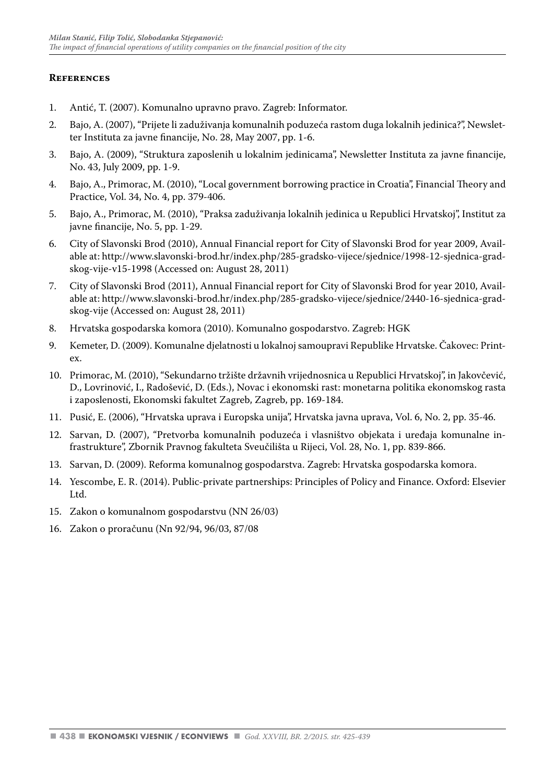#### **References**

- 1. Antić, T. (2007). Komunalno upravno pravo. Zagreb: Informator.
- 2. Bajo, A. (2007), "Prijete li zaduživanja komunalnih poduzeća rastom duga lokalnih jedinica?", Newsletter Instituta za javne financije, No. 28, May 2007, pp. 1-6.
- 3. Bajo, A. (2009), "Struktura zaposlenih u lokalnim jedinicama", Newsletter Instituta za javne financije, No. 43, July 2009, pp. 1-9.
- 4. Bajo, A., Primorac, M. (2010), "Local government borrowing practice in Croatia", Financial Theory and Practice, Vol. 34, No. 4, pp. 379-406.
- 5. Bajo, A., Primorac, M. (2010), "Praksa zaduživanja lokalnih jedinica u Republici Hrvatskoj", Institut za javne financije, No. 5, pp. 1-29.
- 6. City of Slavonski Brod (2010), Annual Financial report for City of Slavonski Brod for year 2009, Available at: http://www.slavonski-brod.hr/index.php/285-gradsko-vijece/sjednice/1998-12-sjednica-gradskog-vije-v15-1998 (Accessed on: August 28, 2011)
- 7. City of Slavonski Brod (2011), Annual Financial report for City of Slavonski Brod for year 2010, Available at: http://www.slavonski-brod.hr/index.php/285-gradsko-vijece/sjednice/2440-16-sjednica-gradskog-vije (Accessed on: August 28, 2011)
- 8. Hrvatska gospodarska komora (2010). Komunalno gospodarstvo. Zagreb: HGK
- 9. Kemeter, D. (2009). Komunalne djelatnosti u lokalnoj samoupravi Republike Hrvatske. Čakovec: Printex.
- 10. Primorac, M. (2010), "Sekundarno tržište državnih vrijednosnica u Republici Hrvatskoj", in Jakovčević, D., Lovrinović, I., Radošević, D. (Eds.), Novac i ekonomski rast: monetarna politika ekonomskog rasta i zaposlenosti, Ekonomski fakultet Zagreb, Zagreb, pp. 169-184.
- 11. Pusić, E. (2006), "Hrvatska uprava i Europska unija", Hrvatska javna uprava, Vol. 6, No. 2, pp. 35-46.
- 12. Sarvan, D. (2007), "Pretvorba komunalnih poduzeća i vlasništvo objekata i uređaja komunalne infrastrukture", Zbornik Pravnog fakulteta Sveučilišta u Rijeci, Vol. 28, No. 1, pp. 839-866.
- 13. Sarvan, D. (2009). Reforma komunalnog gospodarstva. Zagreb: Hrvatska gospodarska komora.
- 14. Yescombe, E. R. (2014). Public-private partnerships: Principles of Policy and Finance. Oxford: Elsevier Ltd.
- 15. Zakon o komunalnom gospodarstvu (NN 26/03)
- 16. Zakon o proračunu (Nn 92/94, 96/03, 87/08